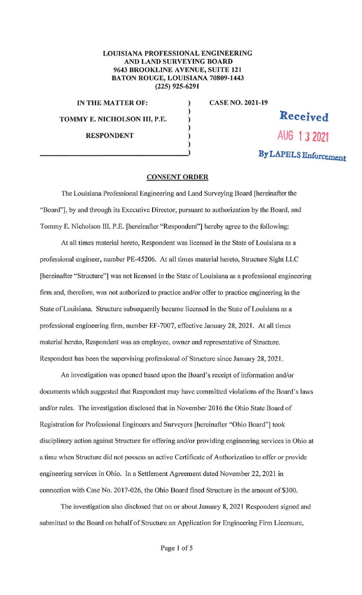## **LOUISIANA PROFESSIONAL ENGINEERING AND LAND SURVEYING BOARD 9643 BROOKLINE AVENUE, SUITE 121 BATON ROUGE, LOUISIANA 70809-1443 (225) 925-6291**

) ) ) ) )

**IN THE MATTER OF:** TOMMY E. NICHOLSON III, P.E. **RESPONDENT AUG 1 J 2021** 

**CASE NO. 2021-19** 

## **By LAPELS Enforcement**

## **CONSENT ORDER**

The Louisiana Professional Engineering and Land Surveying Board [hereinafter the "Board"], by and through its Executive Director, pursuant to authorization by the Board, and Tommy E. Nicholson III, P.E. [hereinafter "Respondent"] hereby agree to the following:

At all times material hereto, Respondent was licensed in the State of Louisiana as a professional engineer, number PE-45206. At all times material hereto, Structure Sight LLC [hereinafter "Structure"] was not licensed in the State of Louisiana as a professional engineering firm and, therefore, was not authorized to practice and/or offer to practice engineering in the State of Louisiana. Structure subsequently became licensed in the State of Louisiana as a professional engineering firm, number EF-7007, effective January 28, 2021. At all times material hereto, Respondent was an employee, owner and representative of Structure. Respondent has been the supervising professional of Structure since January 28, 2021.

An investigation was opened based upon the Board's receipt of information and/or documents which suggested that Respondent may have committed violations of the Board's laws and/or rules. The investigation disclosed that in November 2016 the Ohio State Board of Registration for Professional Engineers and Surveyors [hereinafter "Ohio Board"] took disciplinary action against Structure for offering and/or providing engineering services in Ohio at a time when Structure did not possess an active Certificate of Authorization to offer or provide engineering services in Ohio. In a Settlement Agreement dated November 22, 2021 in connection with Case No. 2017-026, the Ohio Board fined Structure in the amount of \$300.

The investigation also disclosed that on or about January 8, 2021 Respondent signed and submitted to the Board on behalf of Structure an Application for Engineering Firm Licensure,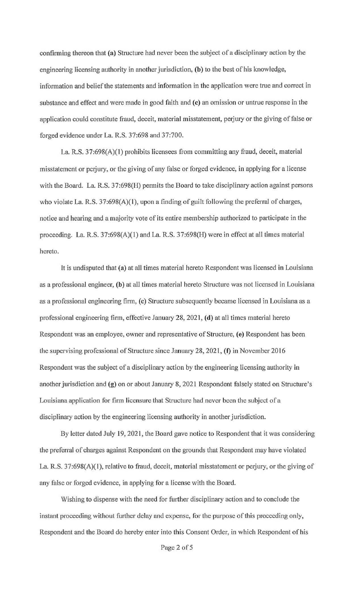confirming thereon that **(a)** Structure had never been the subject of a disciplinary action by the engineering licensing authority in another jurisdiction, **(b)** to the best of his knowledge, information and belief the statements and information in the application were true and correct in substance and effect and were made in good faith and **(c)** an omission or untrue response in the application could constitute fraud, deceit, material misstatement, perjury or the giving of false or forged evidence under La. R.S. 37:698 and 37:700.

La. R.S. 37:698(A)(l) prohibits licensees from committing any fraud, deceit, material misstatement or perjury, or the giving of any false or forged evidence, in applying for a license with the Board. La. R.S. 37:698(H) permits the Board to take disciplinary action against persons who violate La. R.S. 37:698(A)(1), upon a finding of guilt following the preferral of charges, notice and hearing and a majority vote of its entire membership authorized to participate in the proceeding. La. R.S. 37:698(A)(l) and La. R.S. 37:698(H) were in effect at all times material hereto.

It is undisputed that **(a)** at all times material hereto Respondent was licensed in Louisiana as a professional engineer, **(b)** at all times material hereto Structure was not licensed in Louisiana as a professional engineering firm, **(c)** Structure subsequently became licensed in Louisiana as a professional engineering firm, effective January 28, 2021, **(d)** at all times material hereto Respondent was an employee, owner and representative of Structure, (e) Respondent has been the supervising professional of Structure since January 28, 2021, **(f)** in November 2016 Respondent was the subject of a disciplinary action by the engineering licensing authority in another jurisdiction and (g) on or about January 8, 2021 Respondent falsely stated on Structure's Louisiana application for firm licensure that Structure had never been the subject of a disciplinary action by the engineering licensing authority in another jurisdiction.

By letter dated July 19, 2021, the Board gave notice to Respondent that it was considering the preferral of charges against Respondent on the grounds that Respondent may have violated La. R.S.  $37:698(A)(1)$ , relative to fraud, deceit, material misstatement or perjury, or the giving of any false or forged evidence, in applying for a license with the Board.

Wishing to dispense with the need for further disciplinary action and to conclude the instant proceeding without further delay and expense, for the purpose of this proceeding only, Respondent and the Board do hereby enter into this Consent Order, in which Respondent of his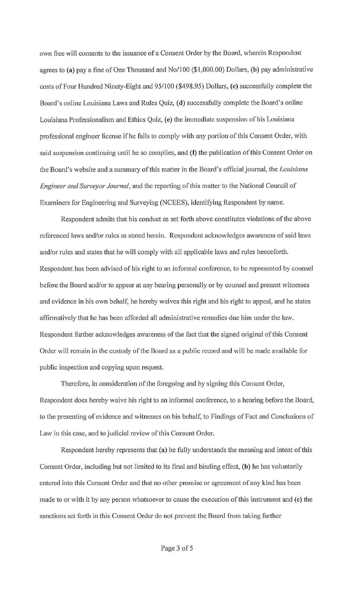own free will consents to the issuance of a Consent Order by the Board, wherein Respondent agrees to **(a)** pay a fine of One Thousand and No/100 (\$1,000.00) Dollars, **(b)** pay administrative costs of Four Hundred Ninety-Eight and 95/100 (\$498.95) Dollars, **(c)** successfully complete the Board's online Louisiana Laws and Rules Quiz, **(d)** successfully complete the Board's online Louisiana Professionalism and Ethics Quiz, **(e)** the immediate suspension of his Louisiana professional engineer license if he fails to comply with any portion of this Consent Order, with said suspension continuing until he so complies, and **(f)** the publication of this Consent Order on the Board's website and a summary of this matter in the Board's official journal, the *Louisiana Engineer and Surveyor Journal,* and the reporting of this matter to the National Council of Examiners for Engineering and Surveying (NCEES), identifying Respondent by name.

Respondent admits that his conduct as set forth above constitutes violations of the above referenced laws and/or rules as stated herein. Respondent acknowledges awareness of said laws and/or rules and states that he will comply with all applicable laws and rules henceforth. Respondent has been advised of his right to an informal conference, to be represented by counsel before the Board and/or to appear at any hearing personally or by counsel and present witnesses and evidence in his own behalf, he hereby waives this right and his right to appeal, and he states affirmatively that he has been afforded all administrative remedies due him under the law. Respondent further acknowledges awareness of the fact that the signed original of this Consent Order will remain in the custody of the Board as a public record and will be made available for public inspection and copying upon request.

Therefore, in consideration of the foregoing and by signing this Consent Order, Respondent does hereby waive his right to an informal conference, to a hearing before the Board, to the presenting of evidence and witnesses on his behalf, to Findings of Fact and Conclusions of Law in this case, and to judicial review of this Consent Order.

Respondent hereby represents that **(a)** he fully understands the meaning and intent of this Consent Order, including but not limited to its final and binding effect, **(b)** he has voluntarily entered into this Consent Order and that no other promise or agreement of any kind has been made to or with it by any person whatsoever to cause the execution of this instrument and **(c)** the sanctions set forth in this Consent Order do not prevent the Board from taking further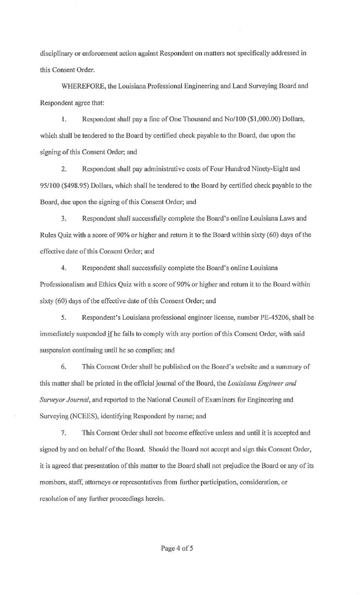disciplinary or enforcement action against Respondent on matters not specifically addressed in this Consent Order.

WHEREFORE, the Louisiana Professional Engineering and Land Surveying Board and Respondent agree that:

1. Respondent shall pay a fine of One Thousand and No/100 (\$1,000.00) Dollars, which shall be tendered to the Board by certified check payable to the Board, due upon the signing of this Consent Order; and

2. Respondent shall pay administrative costs of Four Hundred Ninety-Eight and 95/100 (\$498.95) Dollars, which shall be tendered to the Board by certified check payable to the Board, due upon the signing of this Consent Order; and

3. Respondent shall successfully complete the Board's online Louisiana Laws and Rules Quiz with a score of 90% or higher and return it to the Board within sixty (60) days of the effective date of this Consent Order; and

4. Respondent shall successfully complete the Board's online Louisiana Professionalism and Ethics Quiz with a score of 90% or higher and return it to the Board within sixty (60) days of the effective date of this Consent Order; and

5. Respondent's Louisiana professional engineer license, number PE-45206, shall be immediately suspended if he fails to comply with any portion of this Consent Order, with said suspension continuing until he so complies; and

6. This Consent Order shall be published on the Board's website and a summary of this matter shall be printed in the official journal of the Board, the *Louisiana Engineer and Surveyor Journal,* and reported to the National Council of Examiners for Engineering and Surveying (NCEES), identifying Respondent by name; and

7. This Consent Order shall not become effective unless and until it is accepted and signed by and on behalf of the Board. Should the Board not accept and sign this Consent Order, it is agreed that presentation of this matter to the Board shall not prejudice the Board or any of its members, staff, attorneys or representatives from further participation, consideration, or resolution of any further proceedings herein.